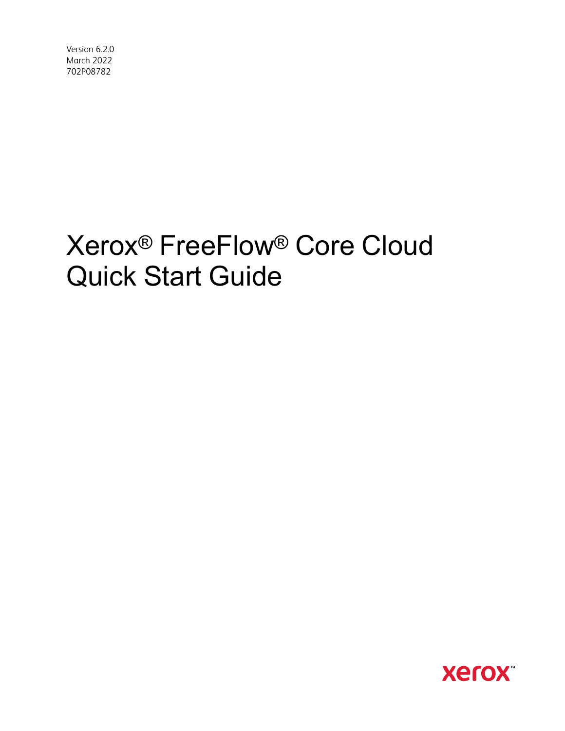Version 6.2.0 March 2022 702P08782

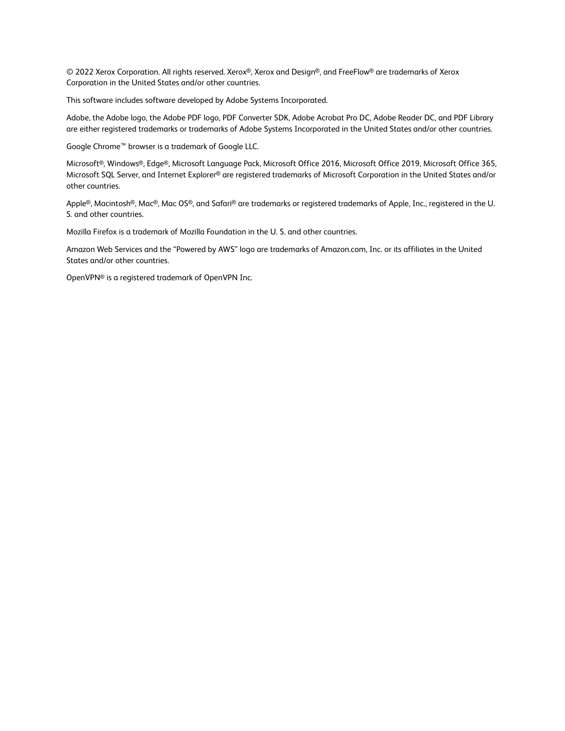© 2022 Xerox Corporation. All rights reserved. Xerox®, Xerox and Design®, and FreeFlow® are trademarks of Xerox Corporation in the United States and/or other countries.

This software includes software developed by Adobe Systems Incorporated.

Adobe, the Adobe logo, the Adobe PDF logo, PDF Converter SDK, Adobe Acrobat Pro DC, Adobe Reader DC, and PDF Library are either registered trademarks or trademarks of Adobe Systems Incorporated in the United States and/or other countries.

Google Chrome™ browser is a trademark of Google LLC.

Microsoft®, Windows®, Edge®, Microsoft Language Pack, Microsoft Office 2016, Microsoft Office 2019, Microsoft Office 365, Microsoft SQL Server, and Internet Explorer® are registered trademarks of Microsoft Corporation in the United States and/or other countries.

Apple®, Macintosh®, Mac®, Mac OS®, and Safari® are trademarks or registered trademarks of Apple, Inc., registered in the U. S. and other countries.

Mozilla Firefox is a trademark of Mozilla Foundation in the U. S. and other countries.

Amazon Web Services and the "Powered by AWS" logo are trademarks of Amazon.com, Inc. or its affiliates in the United States and/or other countries.

OpenVPN® is a registered trademark of OpenVPN Inc.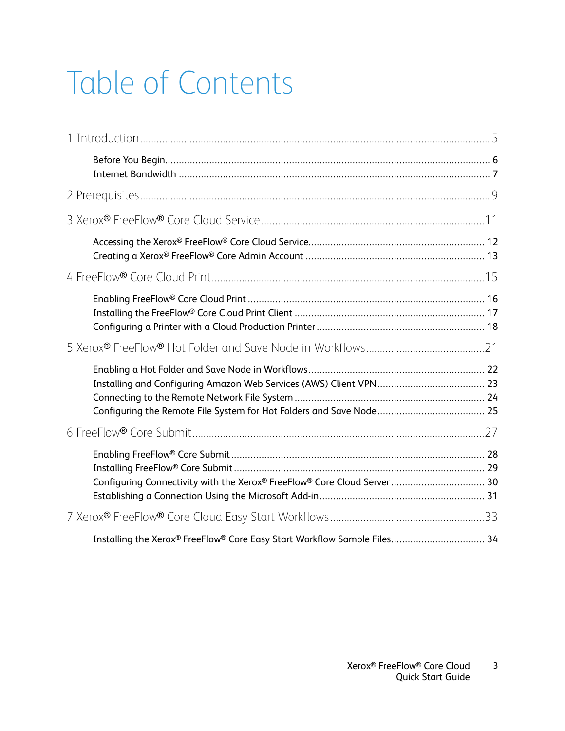## Table of Contents

| Installing the Xerox® FreeFlow® Core Easy Start Workflow Sample Files 34 |  |
|--------------------------------------------------------------------------|--|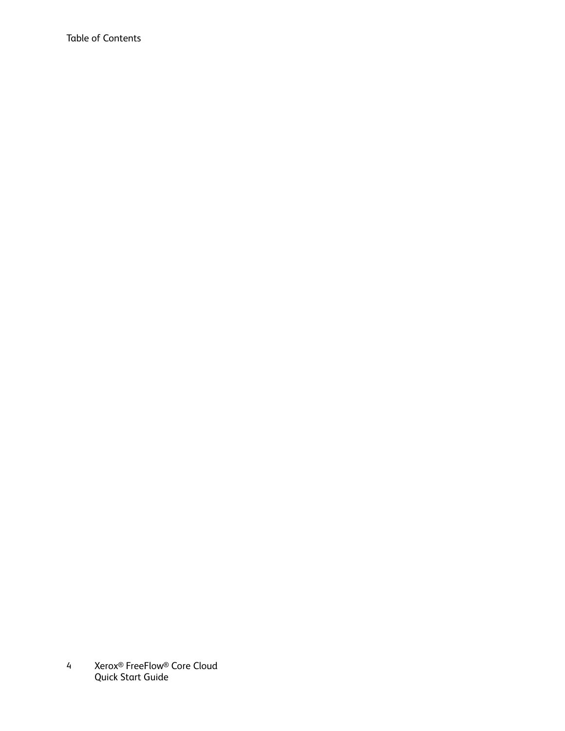Table of Contents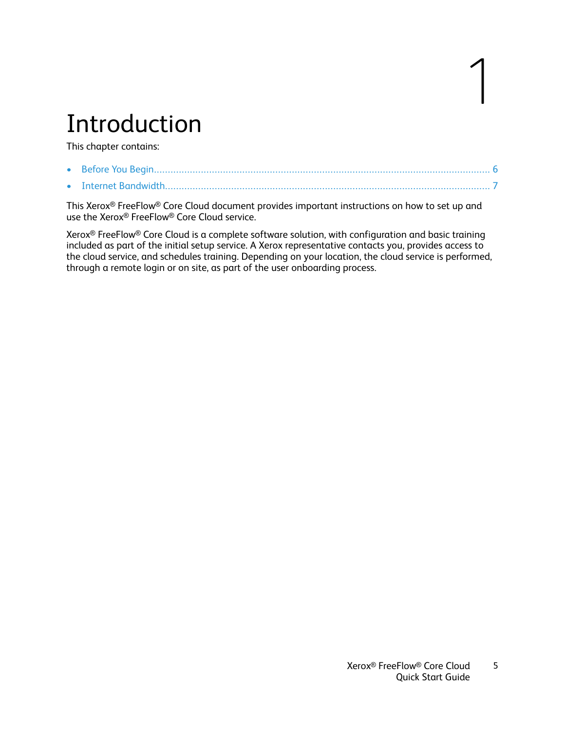### <span id="page-4-0"></span>Introduction

This chapter contains:

- [Befor](#page-5-0)e You [Begin..........................................................................................................................](#page-5-0) 6
- [Inter](#page-6-0)net [Bandwidth......................................................................................................................](#page-6-0) 7

This Xerox® FreeFlow® Core Cloud document provides important instructions on how to set up and use the Xerox® FreeFlow® Core Cloud service.

Xerox® FreeFlow® Core Cloud is a complete software solution, with configuration and basic training included as part of the initial setup service. A Xerox representative contacts you, provides access to the cloud service, and schedules training. Depending on your location, the cloud service is performed, through a remote login or on site, as part of the user onboarding process.

1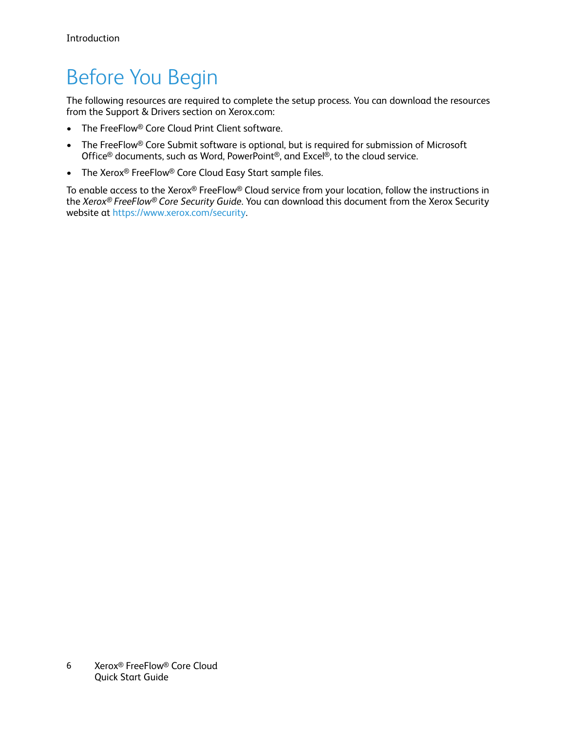#### <span id="page-5-0"></span>Before You Begin

The following resources are required to complete the setup process. You can download the resources from the Support & Drivers section on Xerox.com:

- The FreeFlow® Core Cloud Print Client software.
- The FreeFlow® Core Submit software is optional, but is required for submission of Microsoft Office® documents, such as Word, PowerPoint®, and Excel®, to the cloud service.
- The Xerox<sup>®</sup> FreeFlow<sup>®</sup> Core Cloud Easy Start sample files.

To enable access to the Xerox® FreeFlow® Cloud service from your location, follow the instructions in the *Xerox*® *FreeFlow*® *Core Security Guide*. You can download this document from the Xerox Security website at <https://www.xerox.com/security>.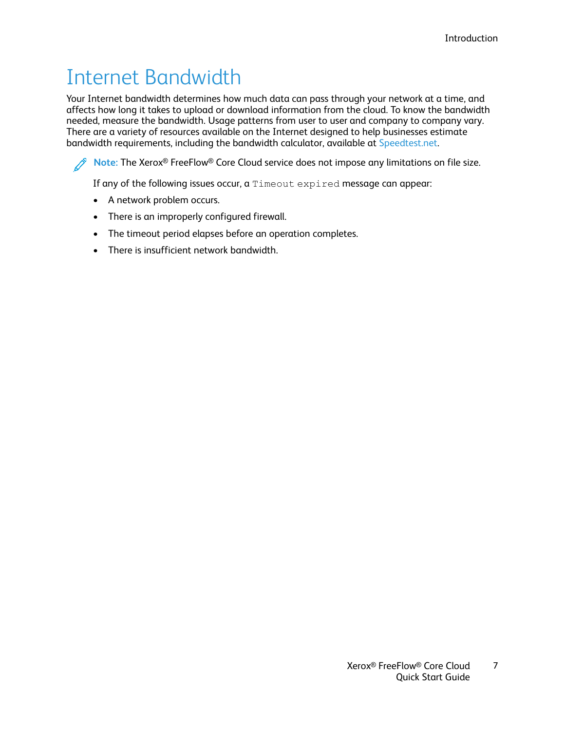#### <span id="page-6-0"></span>Internet Bandwidth

Your Internet bandwidth determines how much data can pass through your network at a time, and affects how long it takes to upload or download information from the cloud. To know the bandwidth needed, measure the bandwidth. Usage patterns from user to user and company to company vary. There are a variety of resources available on the Internet designed to help businesses estimate bandwidth requirements, including the bandwidth calculator, available at [Speedtest.net](https://www.speedtest.net/).

**Note:** The Xerox<sup>®</sup> FreeFlow<sup>®</sup> Core Cloud service does not impose any limitations on file size.

If any of the following issues occur, a Timeout expired message can appear:

- A network problem occurs.
- There is an improperly configured firewall.
- The timeout period elapses before an operation completes.
- There is insufficient network bandwidth.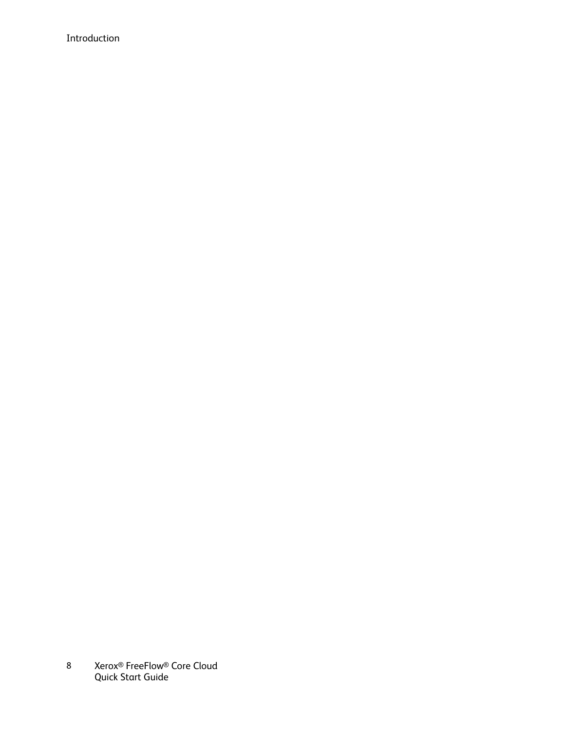[Introduction](#page-4-0)

8 Xerox<sup>®</sup> FreeFlow<sup>®</sup> Core Cloud Quick Start Guide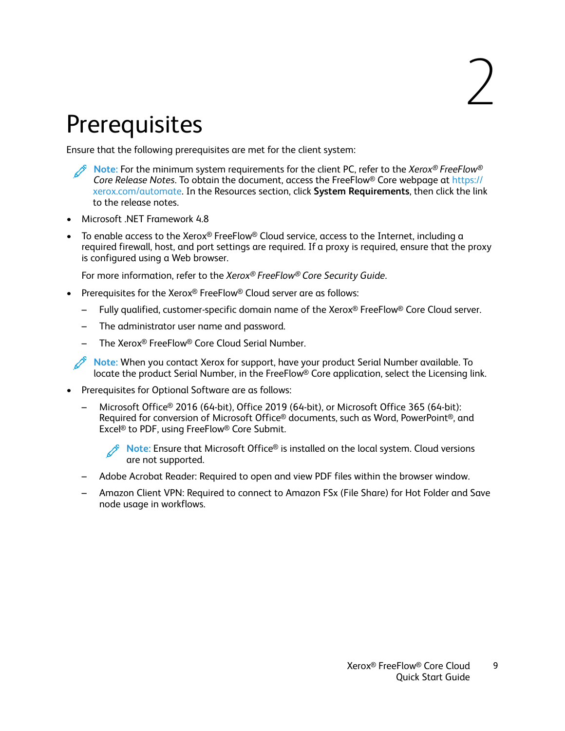#### <span id="page-8-0"></span>**Prerequisites**

Ensure that the following prerequisites are met for the client system:

- **Note:** For the minimum system requirements for the client PC, refer to the *Xerox*® *FreeFlow*® *Core Release Notes*. To obtain the document, access the FreeFlow® Core webpage at [https://](https://xerox.com/automate) [xerox.com/automate.](https://xerox.com/automate) In the Resources section, click **System Requirements**, then click the link to the release notes.
- Microsoft .NET Framework 4.8
- To enable access to the Xerox® FreeFlow® Cloud service, access to the Internet, including a required firewall, host, and port settings are required. If a proxy is required, ensure that the proxy is configured using a Web browser.

For more information, refer to the *Xerox*® *FreeFlow*® *Core Security Guide*.

- Prerequisites for the Xerox® FreeFlow® Cloud server are as follows:
	- Fully qualified, customer-specific domain name of the Xerox® FreeFlow® Core Cloud server.
	- The administrator user name and password.
	- The Xerox® FreeFlow® Core Cloud Serial Number.

**Note:** When you contact Xerox for support, have your product Serial Number available. To locate the product Serial Number, in the FreeFlow® Core application, select the Licensing link.

- Prerequisites for Optional Software are as follows:
	- Microsoft Office® 2016 (64-bit), Office 2019 (64-bit), or Microsoft Office 365 (64-bit): Required for conversion of Microsoft Office® documents, such as Word, PowerPoint®, and Excel® to PDF, using FreeFlow® Core Submit.

**Note:** Ensure that Microsoft Office® is installed on the local system. Cloud versions are not supported.

- Adobe Acrobat Reader: Required to open and view PDF files within the browser window.
- Amazon Client VPN: Required to connect to Amazon FSx (File Share) for Hot Folder and Save node usage in workflows.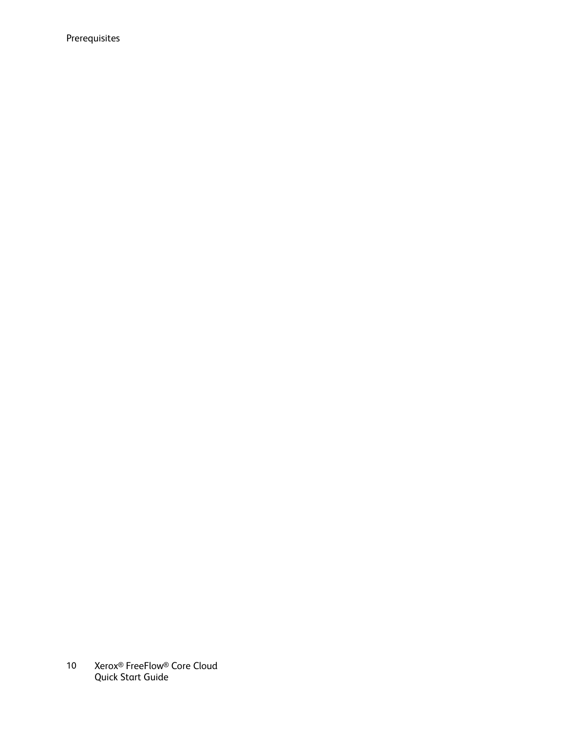[Prerequisites](#page-8-0)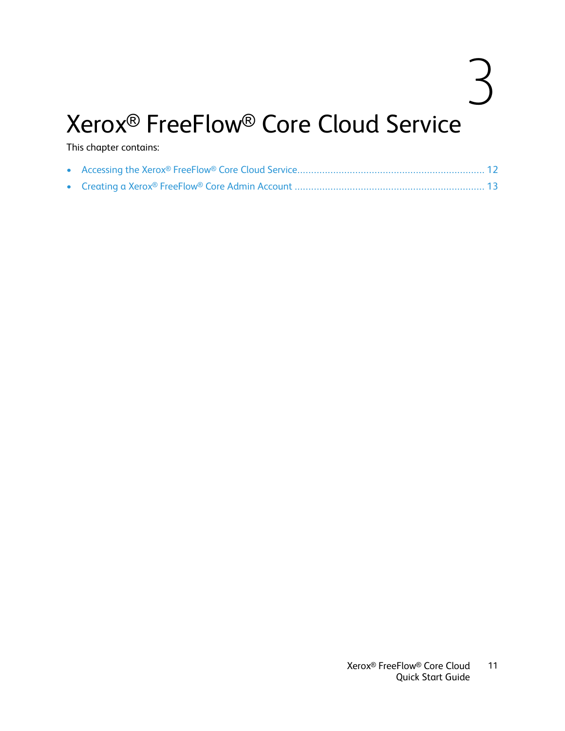3

#### <span id="page-10-0"></span>Xerox® FreeFlow® Core Cloud Service

This chapter contains: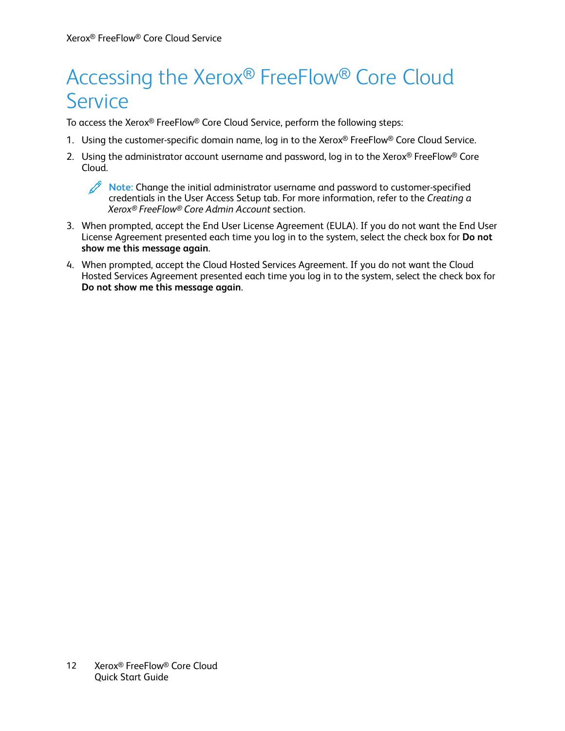#### <span id="page-11-0"></span>Accessing the Xerox® FreeFlow® Core Cloud Service

To access the Xerox® FreeFlow® Core Cloud Service, perform the following steps:

- 1. Using the customer-specific domain name, log in to the Xerox® FreeFlow® Core Cloud Service.
- 2. Using the administrator account username and password, log in to the Xerox® FreeFlow® Core Cloud.



- 3. When prompted, accept the End User License Agreement (EULA). If you do not want the End User License Agreement presented each time you log in to the system, select the check box for **Do not show me this message again**.
- 4. When prompted, accept the Cloud Hosted Services Agreement. If you do not want the Cloud Hosted Services Agreement presented each time you log in to the system, select the check box for **Do not show me this message again**.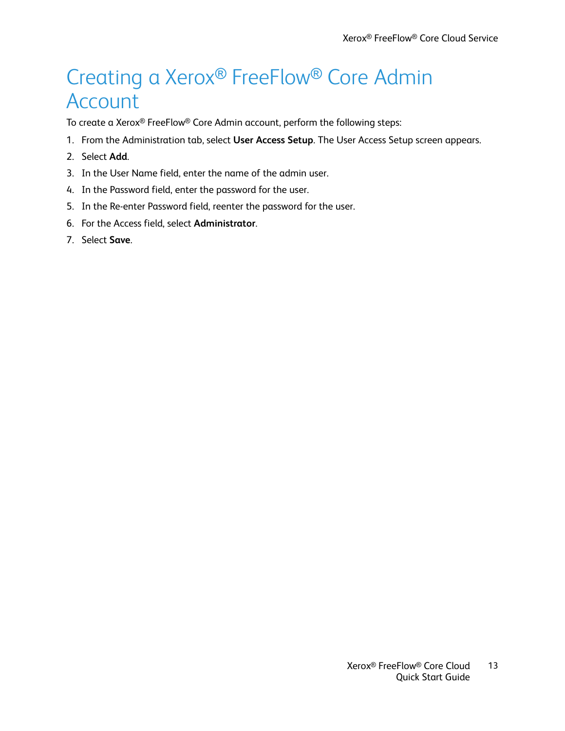#### <span id="page-12-0"></span>Creating a Xerox® FreeFlow® Core Admin Account

To create a Xerox® FreeFlow® Core Admin account, perform the following steps:

- 1. From the Administration tab, select **User Access Setup**. The User Access Setup screen appears.
- 2. Select **Add**.
- 3. In the User Name field, enter the name of the admin user.
- 4. In the Password field, enter the password for the user.
- 5. In the Re-enter Password field, reenter the password for the user.
- 6. For the Access field, select **Administrator**.
- 7. Select **Save**.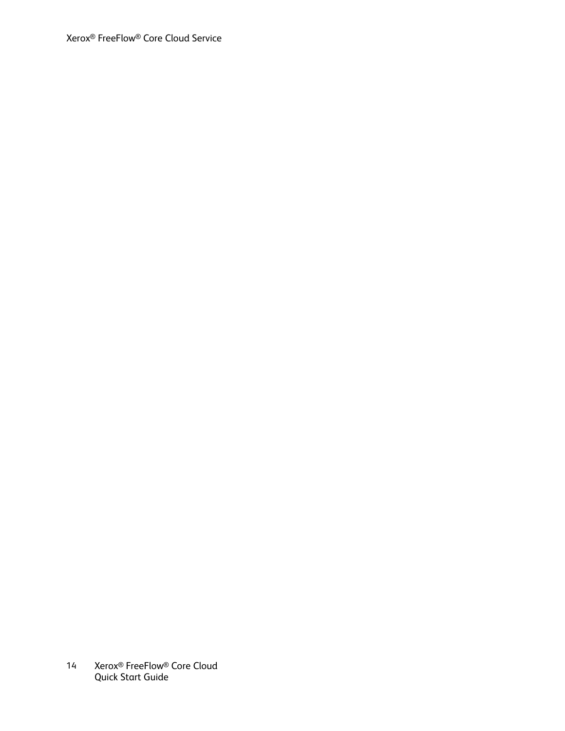Xerox® [FreeFlow](#page-10-0)® Core Cloud Service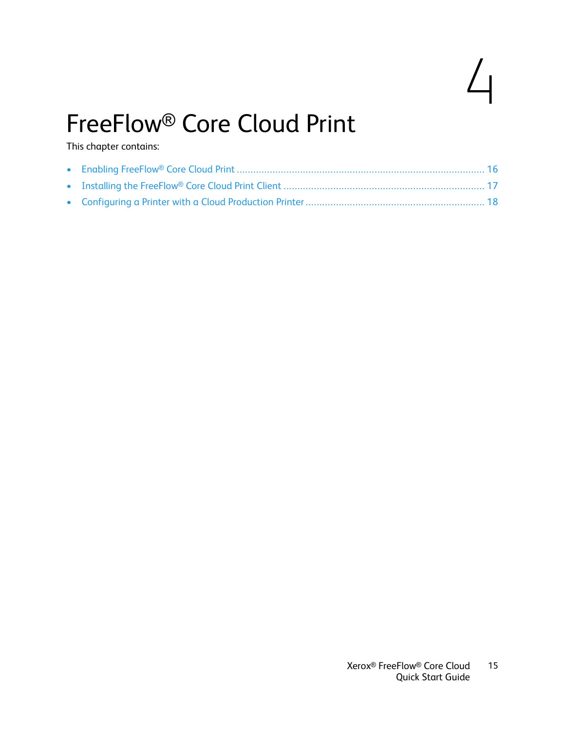# $\Delta$

#### <span id="page-14-0"></span>FreeFlow® Core Cloud Print

This chapter contains: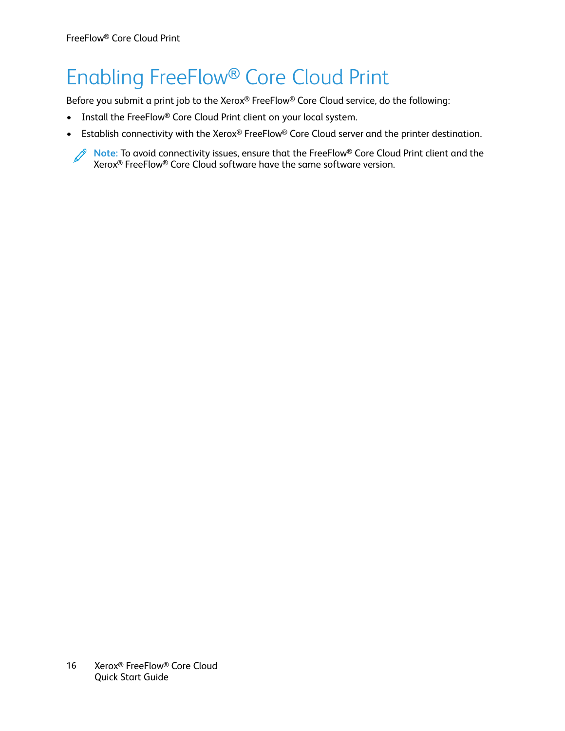#### <span id="page-15-0"></span>Enabling FreeFlow® Core Cloud Print

Before you submit a print job to the Xerox® FreeFlow® Core Cloud service, do the following:

- Install the FreeFlow® Core Cloud Print client on your local system.
- Establish connectivity with the Xerox® FreeFlow® Core Cloud server and the printer destination.

**Note:** To avoid connectivity issues, ensure that the FreeFlow® Core Cloud Print client and the Xerox® FreeFlow® Core Cloud software have the same software version.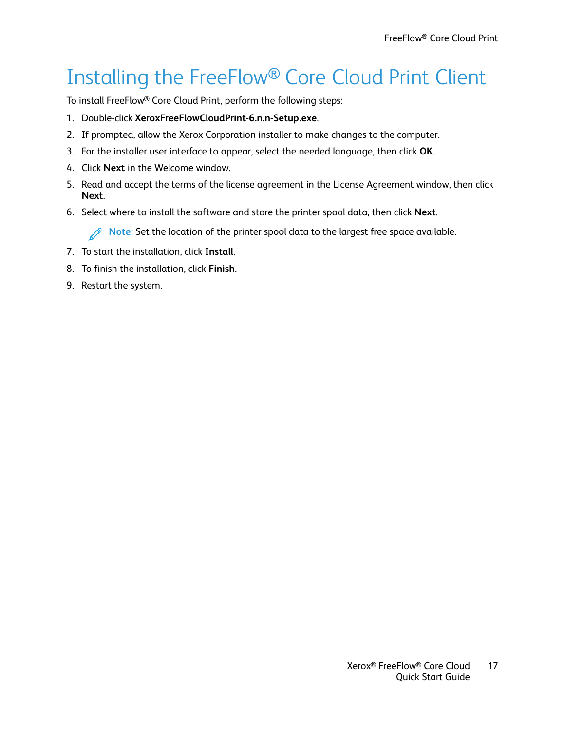#### <span id="page-16-0"></span>Installing the FreeFlow® Core Cloud Print Client

To install FreeFlow® Core Cloud Print, perform the following steps:

- 1. Double-click **XeroxFreeFlowCloudPrint-6.n.n-Setup.exe**.
- 2. If prompted, allow the Xerox Corporation installer to make changes to the computer.
- 3. For the installer user interface to appear, select the needed language, then click **OK**.
- 4. Click **Next** in the Welcome window.
- 5. Read and accept the terms of the license agreement in the License Agreement window, then click **Next**.
- 6. Select where to install the software and store the printer spool data, then click **Next**.

**Note:** Set the location of the printer spool data to the largest free space available.

- 7. To start the installation, click **Install**.
- 8. To finish the installation, click **Finish**.
- 9. Restart the system.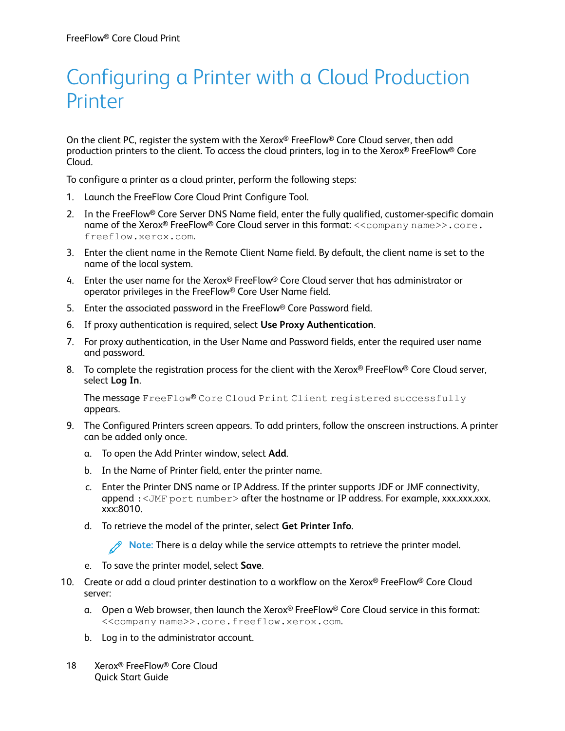#### <span id="page-17-0"></span>Configuring a Printer with a Cloud Production **Printer**

On the client PC, register the system with the Xerox® FreeFlow® Core Cloud server, then add production printers to the client. To access the cloud printers, log in to the Xerox® FreeFlow® Core Cloud.

To configure a printer as a cloud printer, perform the following steps:

- 1. Launch the FreeFlow Core Cloud Print Configure Tool.
- 2. In the FreeFlow® Core Server DNS Name field, enter the fully qualified, customer-specific domain name of the Xerox® FreeFlow® Core Cloud server in this format: <<company name>>.core. freeflow.xerox.com.
- 3. Enter the client name in the Remote Client Name field. By default, the client name is set to the name of the local system.
- 4. Enter the user name for the Xerox® FreeFlow® Core Cloud server that has administrator or operator privileges in the FreeFlow® Core User Name field.
- 5. Enter the associated password in the FreeFlow® Core Password field.
- 6. If proxy authentication is required, select **Use Proxy Authentication**.
- 7. For proxy authentication, in the User Name and Password fields, enter the required user name and password.
- 8. To complete the registration process for the client with the Xerox® FreeFlow® Core Cloud server, select **Log In**.

The message FreeFlow® Core Cloud Print Client registered successfully appears.

- <span id="page-17-1"></span>9. The Configured Printers screen appears. To add printers, follow the onscreen instructions. A printer can be added only once.
	- a. To open the Add Printer window, select **Add**.
	- b. In the Name of Printer field, enter the printer name.
	- c. Enter the Printer DNS name or IP Address. If the printer supports JDF or JMF connectivity, append : <JMF port number> after the hostname or IP address. For example, xxx.xxx.xxx. xxx:8010.
	- d. To retrieve the model of the printer, select **Get Printer Info**.

**Note:** There is a delay while the service attempts to retrieve the printer model.

- e. To save the printer model, select **Save**.
- 10. Create or add a cloud printer destination to a workflow on the Xerox® FreeFlow® Core Cloud server:
	- a. Open a Web browser, then launch the Xerox® FreeFlow® Core Cloud service in this format: <<company name>>.core.freeflow.xerox.com.
	- b. Log in to the administrator account.
- 18 Xerox® FreeFlow® Core Cloud Quick Start Guide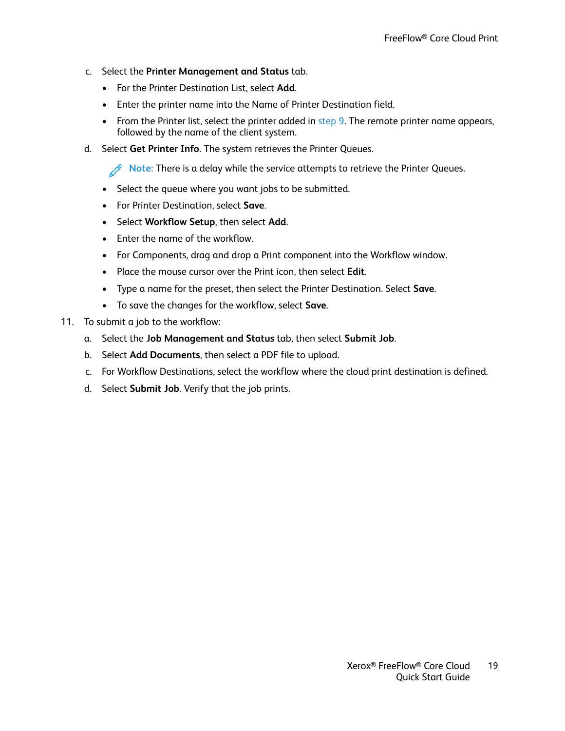- c. Select the **Printer Management and Status** tab.
	- For the Printer Destination List, select **Add**.
	- Enter the printer name into the Name of Printer Destination field.
	- From the Printer list, select the printer added in [step](#page-17-1) 9. The remote printer name appears, followed by the name of the client system.
- d. Select **Get Printer Info**. The system retrieves the Printer Queues.

**Note:** There is a delay while the service attempts to retrieve the Printer Queues.

- Select the queue where you want jobs to be submitted.
- For Printer Destination, select **Save**.
- Select **Workflow Setup**, then select **Add**.
- Enter the name of the workflow.
- For Components, drag and drop a Print component into the Workflow window.
- Place the mouse cursor over the Print icon, then select **Edit**.
- Type a name for the preset, then select the Printer Destination. Select **Save**.
- To save the changes for the workflow, select **Save**.
- 11. To submit a job to the workflow:
	- a. Select the **Job Management and Status** tab, then select **Submit Job**.
	- b. Select **Add Documents**, then select a PDF file to upload.
	- c. For Workflow Destinations, select the workflow where the cloud print destination is defined.
	- d. Select **Submit Job**. Verify that the job prints.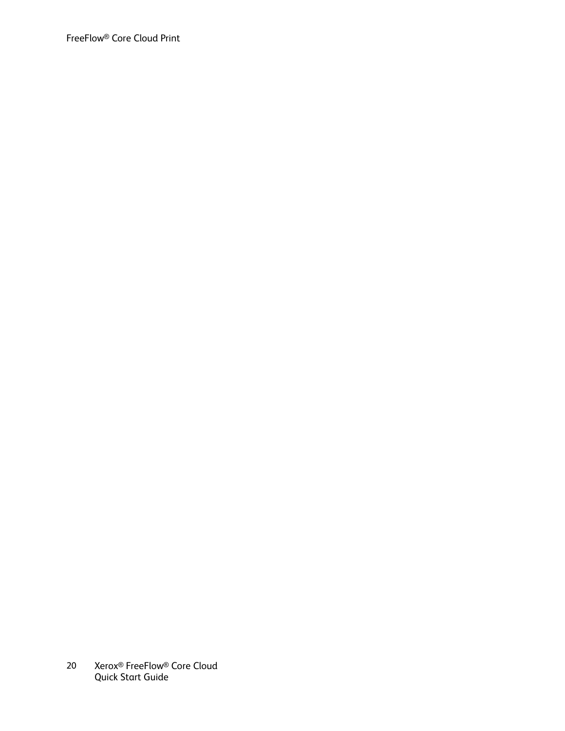[FreeFlow](#page-14-0)® Core Cloud Print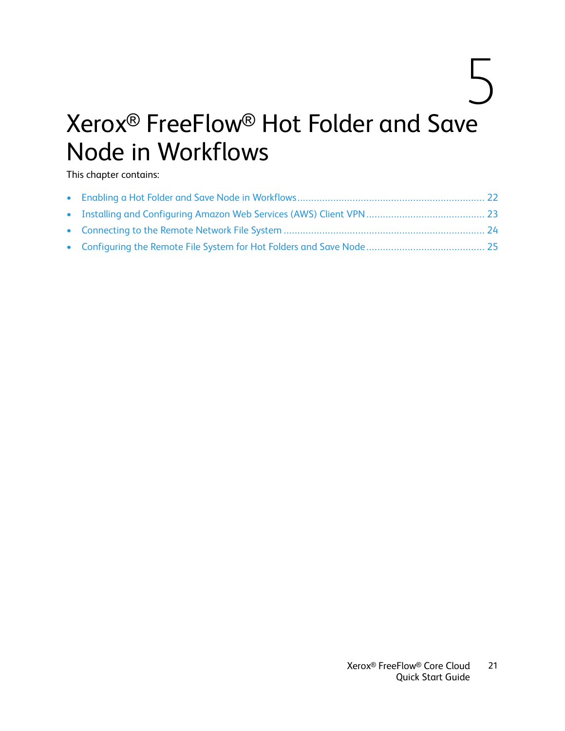## <span id="page-20-0"></span>5 Xerox® FreeFlow® Hot Folder and Save Node in Workflows

This chapter contains: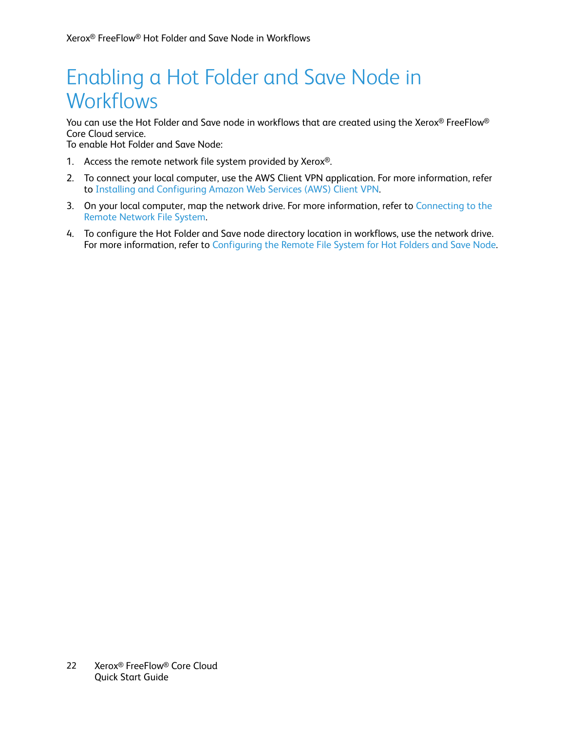#### <span id="page-21-0"></span>Enabling a Hot Folder and Save Node in **Workflows**

You can use the Hot Folder and Save node in workflows that are created using the Xerox® FreeFlow® Core Cloud service.

To enable Hot Folder and Save Node:

- 1. Access the remote network file system provided by Xerox®.
- 2. To connect your local computer, use the AWS Client VPN application. For more information, refer to Installing and [Configuring](#page-22-0) Amazon Web Services (AWS) Client VPN.
- 3. On your local computer, map the network drive. For more information, refer to [Connecting](#page-23-0) to the Remote [Network](#page-23-0) File System.
- 4. To configure the Hot Folder and Save node directory location in workflows, use the network drive. For more information, refer to [Configuring](#page-24-0) the Remote File System for Hot Folders and Save Node.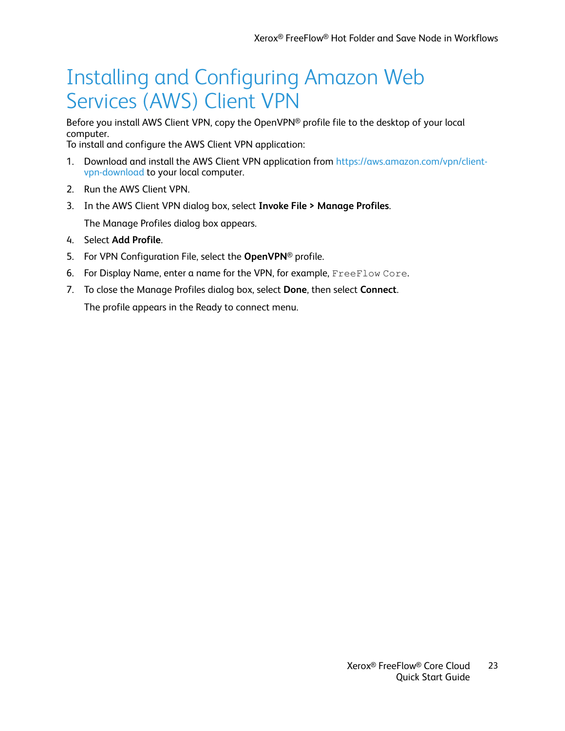#### <span id="page-22-0"></span>Installing and Configuring Amazon Web Services (AWS) Client VPN

Before you install AWS Client VPN, copy the OpenVPN® profile file to the desktop of your local computer.

To install and configure the AWS Client VPN application:

- 1. Download and install the AWS Client VPN application from [https://aws.amazon.com/vpn/client](https://aws.amazon.com/vpn/client-vpn-download)[vpn-download](https://aws.amazon.com/vpn/client-vpn-download) to your local computer.
- 2. Run the AWS Client VPN.
- 3. In the AWS Client VPN dialog box, select **Invoke File > Manage Profiles**. The Manage Profiles dialog box appears.
- 4. Select **Add Profile**.
- 5. For VPN Configuration File, select the **OpenVPN**® profile.
- 6. For Display Name, enter a name for the VPN, for example, FreeFlow Core.
- 7. To close the Manage Profiles dialog box, select **Done**, then select **Connect**. The profile appears in the Ready to connect menu.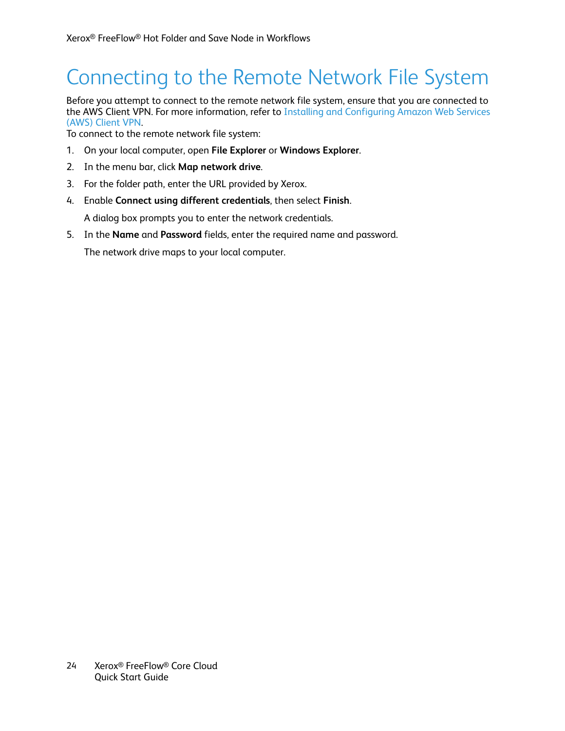#### <span id="page-23-0"></span>Connecting to the Remote Network File System

Before you attempt to connect to the remote network file system, ensure that you are connected to the AWS Client VPN. For more information, refer to Installing and [Configuring](#page-22-0) Amazon Web Services [\(AWS\)](#page-22-0) Client VPN.

To connect to the remote network file system:

- 1. On your local computer, open **File Explorer** or **Windows Explorer**.
- 2. In the menu bar, click **Map network drive**.
- 3. For the folder path, enter the URL provided by Xerox.
- 4. Enable **Connect using different credentials**, then select **Finish**.

A dialog box prompts you to enter the network credentials.

5. In the **Name** and **Password** fields, enter the required name and password.

The network drive maps to your local computer.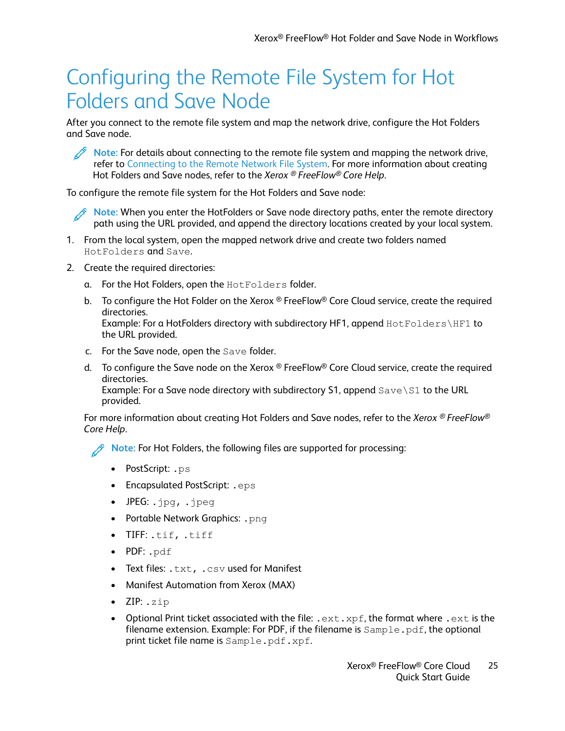#### <span id="page-24-0"></span>Configuring the Remote File System for Hot Folders and Save Node

After you connect to the remote file system and map the network drive, configure the Hot Folders and Save node.

**Note:** For details about connecting to the remote file system and mapping the network drive, refer to [Connecting](#page-23-0) to the Remote Network File System. For more information about creating Hot Folders and Save nodes, refer to the *Xerox* ® *FreeFlow*® *Core Help*.

To configure the remote file system for the Hot Folders and Save node:

**Note:** When you enter the HotFolders or Save node directory paths, enter the remote directory path using the URL provided, and append the directory locations created by your local system.

- 1. From the local system, open the mapped network drive and create two folders named HotFolders and Save.
- 2. Create the required directories:
	- a. For the Hot Folders, open the HotFolders folder.
	- b. To configure the Hot Folder on the Xerox ® FreeFlow® Core Cloud service, create the required directories. Example: For a HotFolders directory with subdirectory HF1, append HotFolders \HF1 to the URL provided.
	- c. For the Save node, open the Save folder.
	- d. To configure the Save node on the Xerox  $\circledast$  FreeFlow $\circledast$  Core Cloud service, create the required directories. Example: For a Save node directory with subdirectory S1, append  $Save\ST1$  to the URL provided.

For more information about creating Hot Folders and Save nodes, refer to the *Xerox* ® *FreeFlow*® *Core Help*.

**Note:** For Hot Folders, the following files are supported for processing:

- PostScript: .ps
- Encapsulated PostScript: .eps
- JPEG: .jpg, .jpeg
- Portable Network Graphics: .png
- TIFF: .tif, .tiff
- PDF: .pdf
- Text files: .txt, .csv used for Manifest
- Manifest Automation from Xerox (MAX)
- ZIP: .zip
- Optional Print ticket associated with the file:  $. \text{ext} \cdot \text{expf}$ , the format where  $. \text{ext}$  is the filename extension. Example: For PDF, if the filename is Sample.pdf, the optional print ticket file name is Sample.pdf.xpf.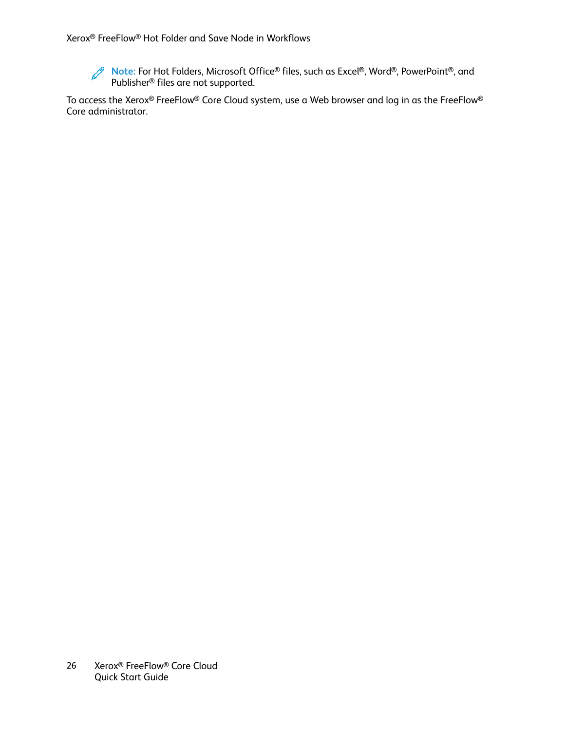

**Note:** For Hot Folders, Microsoft Office® files, such as Excel®, Word®, PowerPoint®, and Publisher® files are not supported.

To access the Xerox® FreeFlow® Core Cloud system, use a Web browser and log in as the FreeFlow® Core administrator.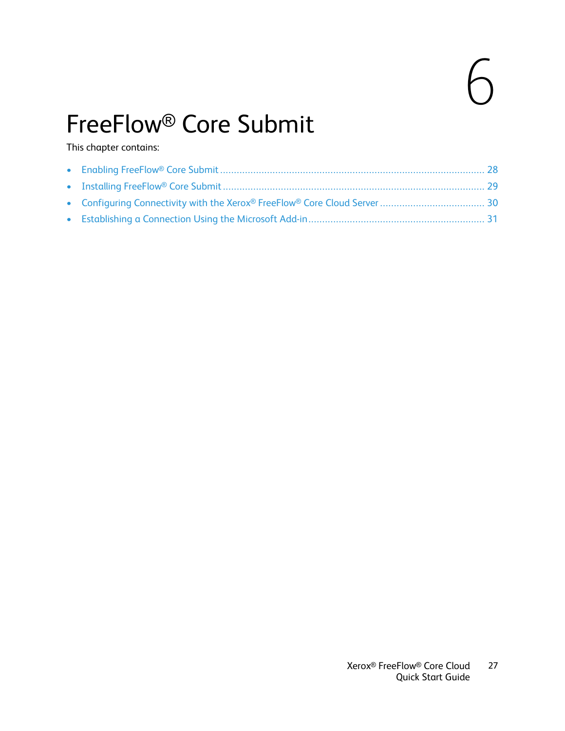# **5**

### <span id="page-26-0"></span>FreeFlow® Core Submit

This chapter contains: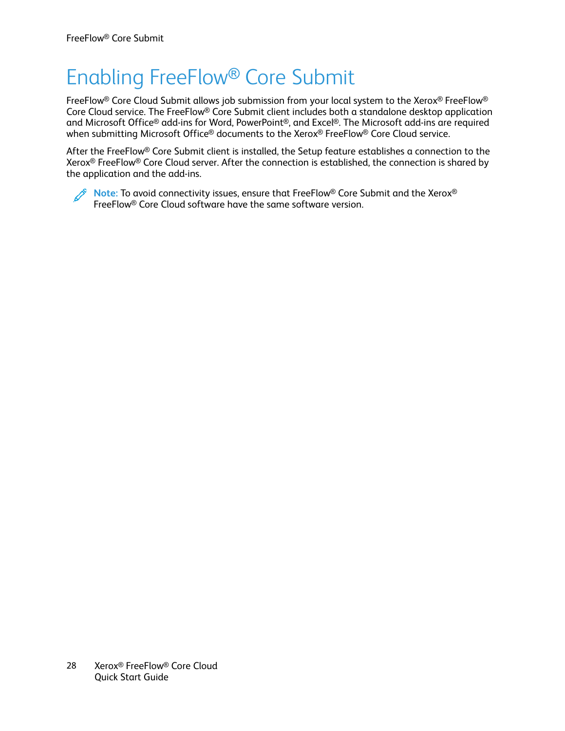#### <span id="page-27-0"></span>Enabling FreeFlow® Core Submit

FreeFlow® Core Cloud Submit allows job submission from your local system to the Xerox® FreeFlow® Core Cloud service. The FreeFlow® Core Submit client includes both a standalone desktop application and Microsoft Office® add-ins for Word, PowerPoint®, and Excel®. The Microsoft add-ins are required when submitting Microsoft Office® documents to the Xerox® FreeFlow® Core Cloud service.

After the FreeFlow® Core Submit client is installed, the Setup feature establishes a connection to the Xerox® FreeFlow® Core Cloud server. After the connection is established, the connection is shared by the application and the add-ins.

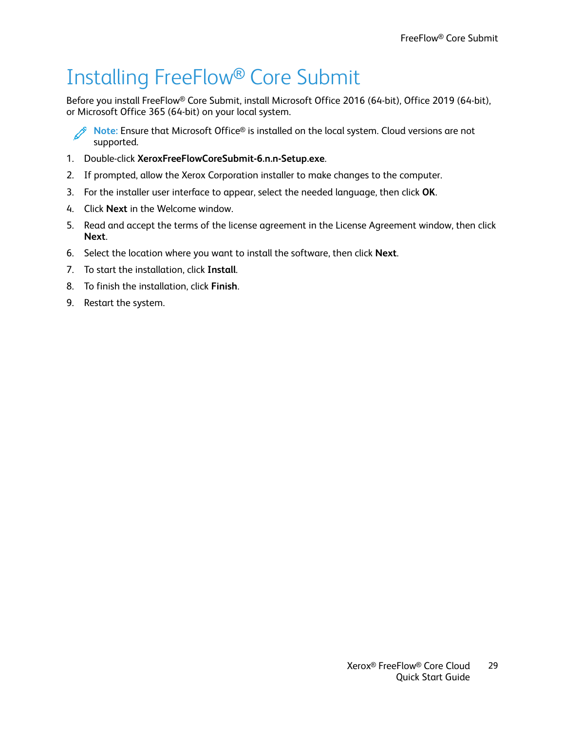#### <span id="page-28-0"></span>Installing FreeFlow® Core Submit

Before you install FreeFlow® Core Submit, install Microsoft Office 2016 (64-bit), Office 2019 (64-bit), or Microsoft Office 365 (64-bit) on your local system.

**Note:** Ensure that Microsoft Office® is installed on the local system. Cloud versions are not supported.

- 1. Double-click **XeroxFreeFlowCoreSubmit-6.n.n-Setup.exe**.
- 2. If prompted, allow the Xerox Corporation installer to make changes to the computer.
- 3. For the installer user interface to appear, select the needed language, then click **OK**.
- 4. Click **Next** in the Welcome window.
- 5. Read and accept the terms of the license agreement in the License Agreement window, then click **Next**.
- 6. Select the location where you want to install the software, then click **Next**.
- 7. To start the installation, click **Install**.
- 8. To finish the installation, click **Finish**.
- 9. Restart the system.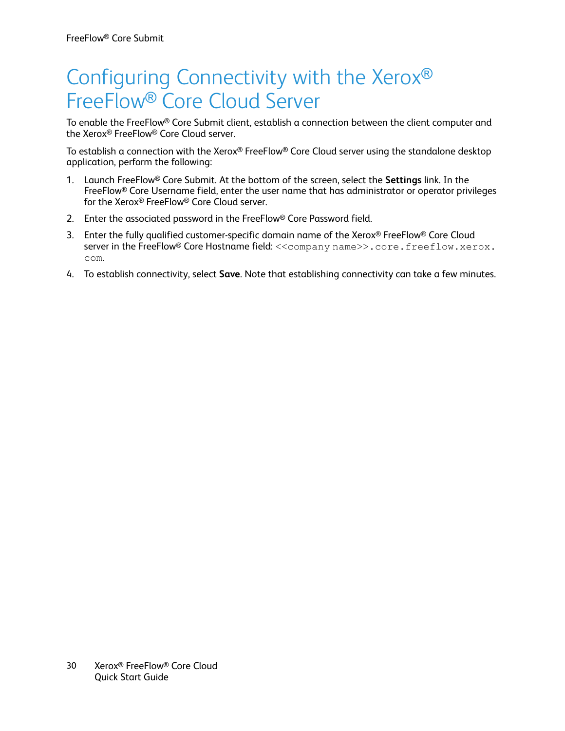#### <span id="page-29-0"></span>Configuring Connectivity with the Xerox® FreeFlow® Core Cloud Server

To enable the FreeFlow® Core Submit client, establish a connection between the client computer and the Xerox® FreeFlow® Core Cloud server.

To establish a connection with the Xerox® FreeFlow® Core Cloud server using the standalone desktop application, perform the following:

- 1. Launch FreeFlow® Core Submit. At the bottom of the screen, select the **Settings** link. In the FreeFlow® Core Username field, enter the user name that has administrator or operator privileges for the Xerox® FreeFlow® Core Cloud server.
- 2. Enter the associated password in the FreeFlow® Core Password field.
- 3. Enter the fully qualified customer-specific domain name of the Xerox® FreeFlow® Core Cloud server in the FreeFlow® Core Hostname field: <<company name>>.core.freeflow.xerox. com.
- 4. To establish connectivity, select **Save**. Note that establishing connectivity can take a few minutes.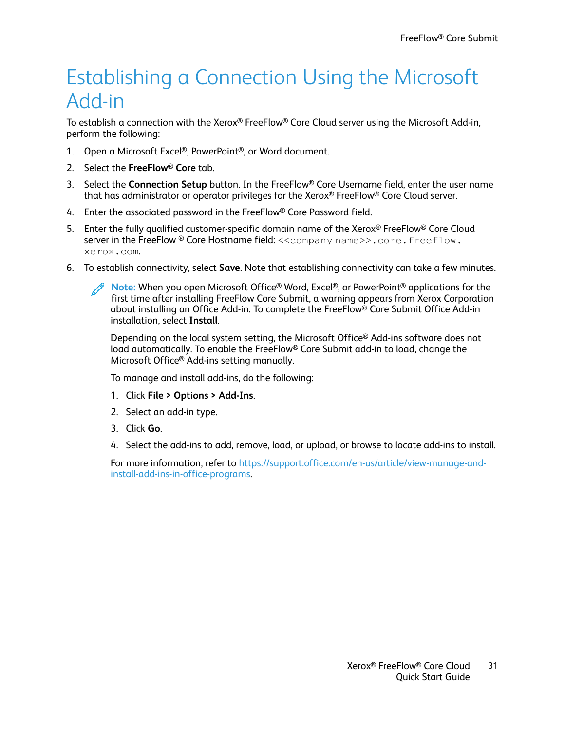#### <span id="page-30-0"></span>Establishing a Connection Using the Microsoft Add-in

To establish a connection with the Xerox® FreeFlow® Core Cloud server using the Microsoft Add-in, perform the following:

- 1. Open a Microsoft Excel®, PowerPoint®, or Word document.
- 2. Select the **FreeFlow**® **Core** tab.
- 3. Select the **Connection Setup** button. In the FreeFlow® Core Username field, enter the user name that has administrator or operator privileges for the Xerox® FreeFlow® Core Cloud server.
- 4. Enter the associated password in the FreeFlow® Core Password field.
- 5. Enter the fully qualified customer-specific domain name of the Xerox® FreeFlow® Core Cloud server in the FreeFlow ® Core Hostname field: <<company name>>.core.freeflow. xerox.com.
- 6. To establish connectivity, select **Save**. Note that establishing connectivity can take a few minutes.

**Note:** When you open Microsoft Office® Word, Excel®, or PowerPoint® applications for the first time after installing FreeFlow Core Submit, a warning appears from Xerox Corporation about installing an Office Add-in. To complete the FreeFlow® Core Submit Office Add-in installation, select **Install**.

Depending on the local system setting, the Microsoft Office® Add-ins software does not load automatically. To enable the FreeFlow® Core Submit add-in to load, change the Microsoft Office® Add-ins setting manually.

To manage and install add-ins, do the following:

- 1. Click **File > Options > Add-Ins**.
- 2. Select an add-in type.
- 3. Click **Go**.
- 4. Select the add-ins to add, remove, load, or upload, or browse to locate add-ins to install.

For more information, refer to [https://support.office.com/en-us/article/view-manage-and](https://support.office.com/en-us/article/view-manage-and-install-add-ins-in-office-programs-16278816-1948-4028-91e5-76dca5380f8d?ui=en-US&rs=en-US&ad=US)[install-add-ins-in-office-programs](https://support.office.com/en-us/article/view-manage-and-install-add-ins-in-office-programs-16278816-1948-4028-91e5-76dca5380f8d?ui=en-US&rs=en-US&ad=US).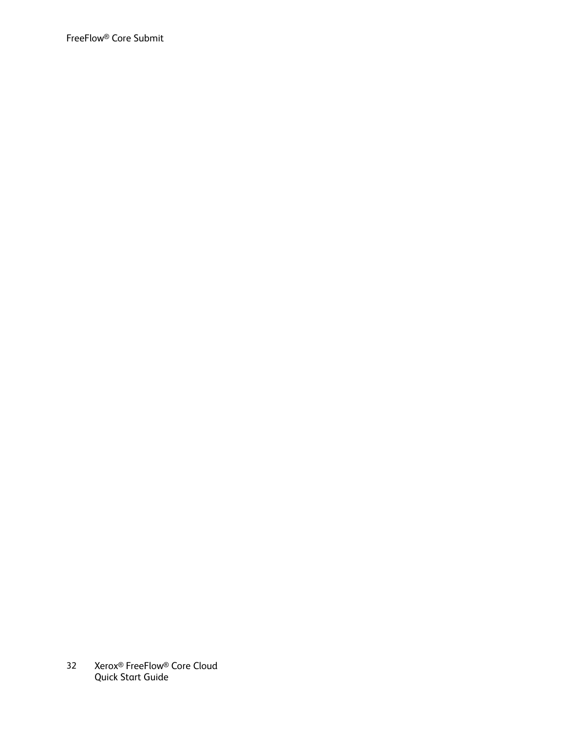[FreeFlow](#page-26-0)® Core Submit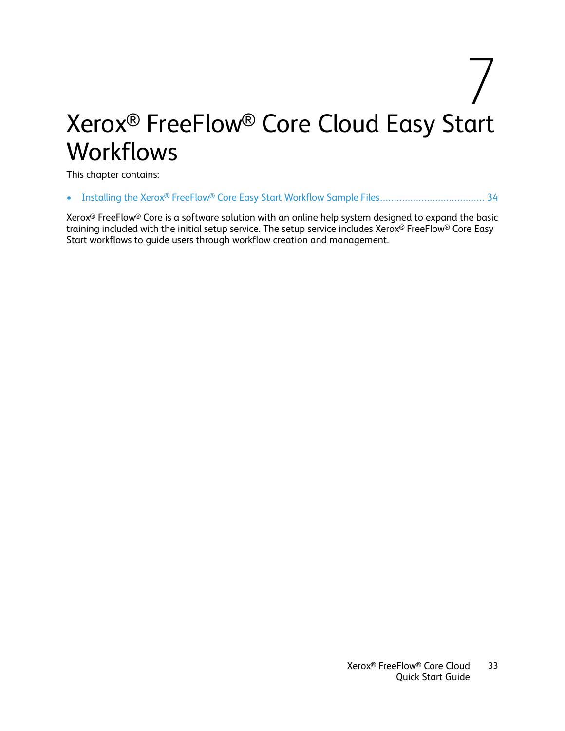## <span id="page-32-0"></span>7 Xerox® FreeFlow® Core Cloud Easy Start **Workflows**

This chapter contains:

• [Insta](#page-33-0)lling the Xerox® FreeFlow® Core Easy Start Workflow Sample [Files......................................](#page-33-0) 34

Xerox® FreeFlow® Core is a software solution with an online help system designed to expand the basic training included with the initial setup service. The setup service includes Xerox® FreeFlow® Core Easy Start workflows to guide users through workflow creation and management.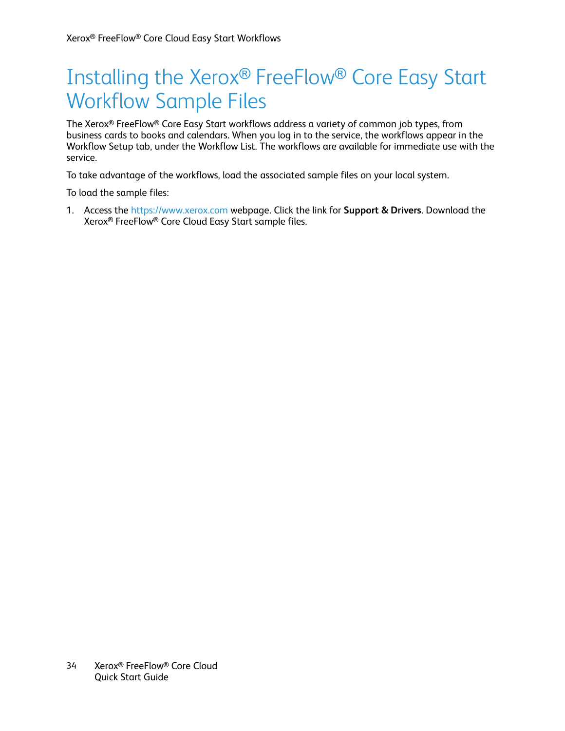#### <span id="page-33-0"></span>Installing the Xerox® FreeFlow® Core Easy Start Workflow Sample Files

The Xerox® FreeFlow® Core Easy Start workflows address a variety of common job types, from business cards to books and calendars. When you log in to the service, the workflows appear in the Workflow Setup tab, under the Workflow List. The workflows are available for immediate use with the service.

To take advantage of the workflows, load the associated sample files on your local system.

To load the sample files:

1. Access the <https://www.xerox.com> webpage. Click the link for **Support & Drivers**. Download the Xerox® FreeFlow® Core Cloud Easy Start sample files.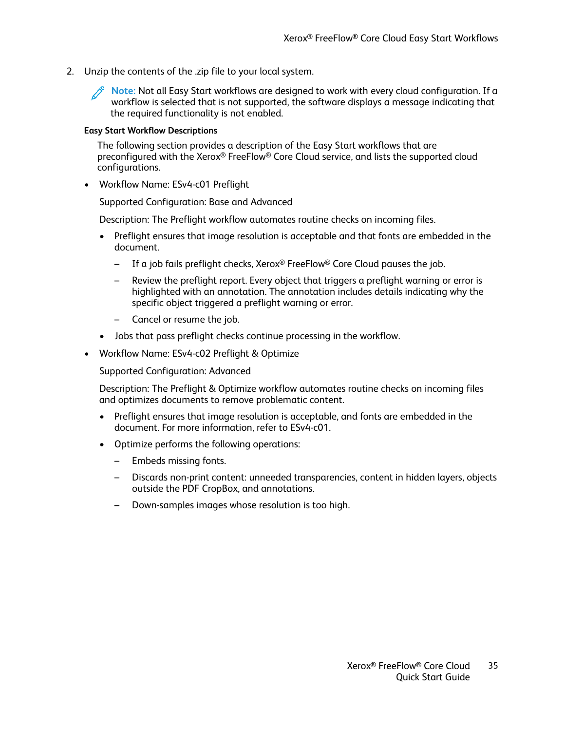2. Unzip the contents of the .zip file to your local system.

**Note:** Not all Easy Start workflows are designed to work with every cloud configuration. If a workflow is selected that is not supported, the software displays a message indicating that the required functionality is not enabled.

#### **Easy Start Workflow Descriptions**

The following section provides a description of the Easy Start workflows that are preconfigured with the Xerox® FreeFlow® Core Cloud service, and lists the supported cloud configurations.

• Workflow Name: ESv4-c01 Preflight

Supported Configuration: Base and Advanced

Description: The Preflight workflow automates routine checks on incoming files.

- Preflight ensures that image resolution is acceptable and that fonts are embedded in the document.
	- $-$  If a job fails preflight checks, Xerox<sup>®</sup> FreeFlow<sup>®</sup> Core Cloud pauses the job.
	- Review the preflight report. Every object that triggers a preflight warning or error is highlighted with an annotation. The annotation includes details indicating why the specific object triggered a preflight warning or error.
	- Cancel or resume the job.
- Jobs that pass preflight checks continue processing in the workflow.
- Workflow Name: ESv4-c02 Preflight & Optimize

Supported Configuration: Advanced

Description: The Preflight & Optimize workflow automates routine checks on incoming files and optimizes documents to remove problematic content.

- Preflight ensures that image resolution is acceptable, and fonts are embedded in the document. For more information, refer to ESv4-c01.
- Optimize performs the following operations:
	- Embeds missing fonts.
	- Discards non-print content: unneeded transparencies, content in hidden layers, objects outside the PDF CropBox, and annotations.
	- Down-samples images whose resolution is too high.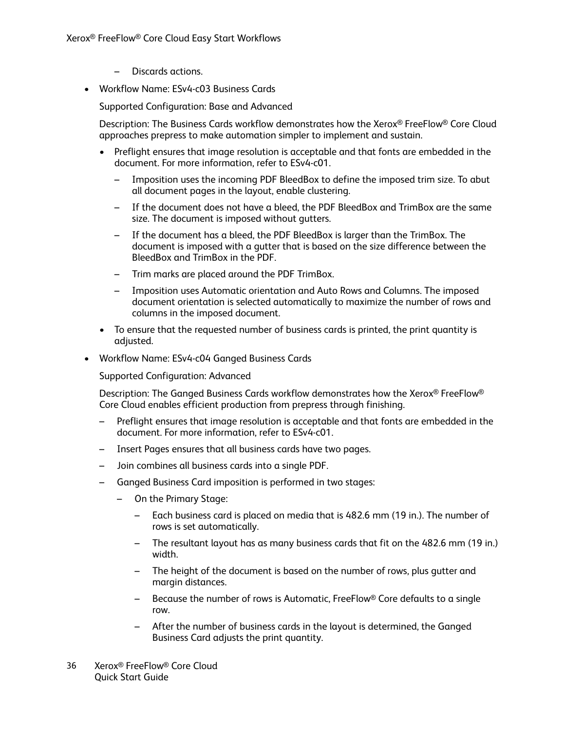- Discards actions.
- Workflow Name: ESv4-c03 Business Cards

Supported Configuration: Base and Advanced

Description: The Business Cards workflow demonstrates how the Xerox® FreeFlow® Core Cloud approaches prepress to make automation simpler to implement and sustain.

- Preflight ensures that image resolution is acceptable and that fonts are embedded in the document. For more information, refer to ESv4-c01.
	- Imposition uses the incoming PDF BleedBox to define the imposed trim size. To abut all document pages in the layout, enable clustering.
	- If the document does not have a bleed, the PDF BleedBox and TrimBox are the same size. The document is imposed without gutters.
	- If the document has a bleed, the PDF BleedBox is larger than the TrimBox. The document is imposed with a gutter that is based on the size difference between the BleedBox and TrimBox in the PDF.
	- Trim marks are placed around the PDF TrimBox.
	- Imposition uses Automatic orientation and Auto Rows and Columns. The imposed document orientation is selected automatically to maximize the number of rows and columns in the imposed document.
- To ensure that the requested number of business cards is printed, the print quantity is adjusted.
- Workflow Name: ESv4-c04 Ganged Business Cards

Supported Configuration: Advanced

Description: The Ganged Business Cards workflow demonstrates how the Xerox® FreeFlow® Core Cloud enables efficient production from prepress through finishing.

- Preflight ensures that image resolution is acceptable and that fonts are embedded in the document. For more information, refer to ESv4-c01.
- Insert Pages ensures that all business cards have two pages.
- Join combines all business cards into a single PDF.
- Ganged Business Card imposition is performed in two stages:
	- On the Primary Stage:
		- Each business card is placed on media that is 482.6 mm (19 in.). The number of rows is set automatically.
		- The resultant layout has as many business cards that fit on the 482.6 mm (19 in.) width.
		- The height of the document is based on the number of rows, plus gutter and margin distances.
		- Because the number of rows is Automatic, FreeFlow® Core defaults to a single row.
		- After the number of business cards in the layout is determined, the Ganged Business Card adjusts the print quantity.
- 36 Xerox® FreeFlow® Core Cloud Quick Start Guide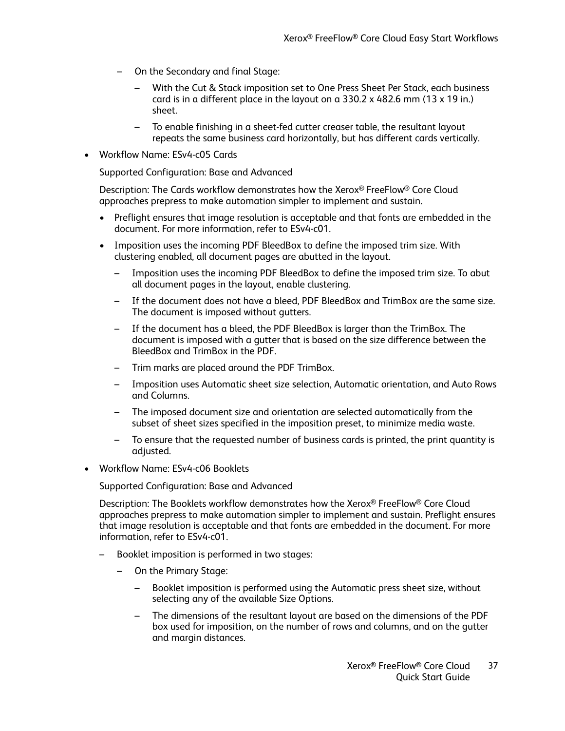- On the Secondary and final Stage:
	- With the Cut & Stack imposition set to One Press Sheet Per Stack, each business card is in a different place in the layout on a 330.2 x 482.6 mm (13 x 19 in.) sheet.
	- To enable finishing in a sheet-fed cutter creaser table, the resultant layout repeats the same business card horizontally, but has different cards vertically.
- Workflow Name: ESv4-c05 Cards

Supported Configuration: Base and Advanced

Description: The Cards workflow demonstrates how the Xerox® FreeFlow® Core Cloud approaches prepress to make automation simpler to implement and sustain.

- Preflight ensures that image resolution is acceptable and that fonts are embedded in the document. For more information, refer to ESv4-c01.
- Imposition uses the incoming PDF BleedBox to define the imposed trim size. With clustering enabled, all document pages are abutted in the layout.
	- Imposition uses the incoming PDF BleedBox to define the imposed trim size. To abut all document pages in the layout, enable clustering.
	- If the document does not have a bleed, PDF BleedBox and TrimBox are the same size. The document is imposed without gutters.
	- If the document has a bleed, the PDF BleedBox is larger than the TrimBox. The document is imposed with a gutter that is based on the size difference between the BleedBox and TrimBox in the PDF.
	- Trim marks are placed around the PDF TrimBox.
	- Imposition uses Automatic sheet size selection, Automatic orientation, and Auto Rows and Columns.
	- The imposed document size and orientation are selected automatically from the subset of sheet sizes specified in the imposition preset, to minimize media waste.
	- To ensure that the requested number of business cards is printed, the print quantity is adjusted.
- Workflow Name: ESv4-c06 Booklets

Supported Configuration: Base and Advanced

Description: The Booklets workflow demonstrates how the Xerox® FreeFlow® Core Cloud approaches prepress to make automation simpler to implement and sustain. Preflight ensures that image resolution is acceptable and that fonts are embedded in the document. For more information, refer to ESv4-c01.

- Booklet imposition is performed in two stages:
	- On the Primary Stage:
		- Booklet imposition is performed using the Automatic press sheet size, without selecting any of the available Size Options.
		- The dimensions of the resultant layout are based on the dimensions of the PDF box used for imposition, on the number of rows and columns, and on the gutter and margin distances.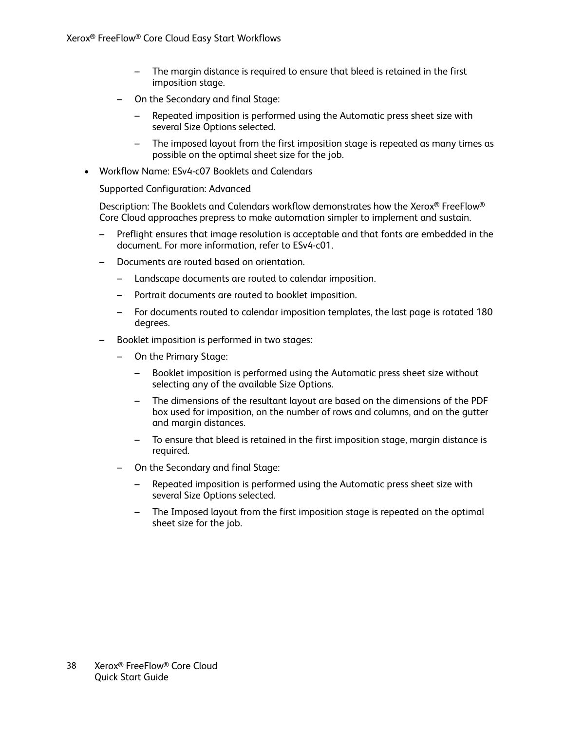- The margin distance is required to ensure that bleed is retained in the first imposition stage.
- On the Secondary and final Stage:
	- Repeated imposition is performed using the Automatic press sheet size with several Size Options selected.
	- The imposed layout from the first imposition stage is repeated as many times as possible on the optimal sheet size for the job.
- Workflow Name: ESv4-c07 Booklets and Calendars

#### Supported Configuration: Advanced

Description: The Booklets and Calendars workflow demonstrates how the Xerox® FreeFlow® Core Cloud approaches prepress to make automation simpler to implement and sustain.

- Preflight ensures that image resolution is acceptable and that fonts are embedded in the document. For more information, refer to ESv4-c01.
- Documents are routed based on orientation.
	- Landscape documents are routed to calendar imposition.
	- Portrait documents are routed to booklet imposition.
	- For documents routed to calendar imposition templates, the last page is rotated 180 degrees.
- Booklet imposition is performed in two stages:
	- On the Primary Stage:
		- Booklet imposition is performed using the Automatic press sheet size without selecting any of the available Size Options.
		- The dimensions of the resultant layout are based on the dimensions of the PDF box used for imposition, on the number of rows and columns, and on the gutter and margin distances.
		- To ensure that bleed is retained in the first imposition stage, margin distance is required.
	- On the Secondary and final Stage:
		- Repeated imposition is performed using the Automatic press sheet size with several Size Options selected.
		- The Imposed layout from the first imposition stage is repeated on the optimal sheet size for the job.